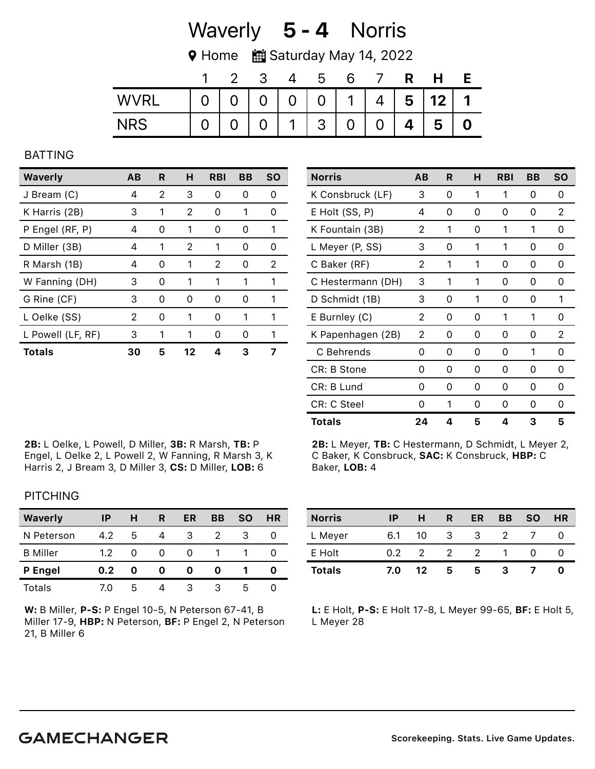| Waverly | $5 - 4$ Norris |
|---------|----------------|
|         |                |

**♥ Home ■ Saturday May 14, 2022** 

|            |          | - 3 |              | b                 |           |          | R           | H        |  |
|------------|----------|-----|--------------|-------------------|-----------|----------|-------------|----------|--|
|            | $\Omega$ |     |              | 0   0   0   0   1 |           | $4 \mid$ | 5           | $12$   1 |  |
| <b>NRS</b> |          |     | $\mathbf{1}$ | $.3+$             | <u>__</u> |          | $\mathbf 4$ | 5        |  |

BATTING

| <b>Waverly</b>    | AB | R | H  | <b>RBI</b> | BВ | <b>SO</b> |
|-------------------|----|---|----|------------|----|-----------|
| J Bream (C)       | 4  | 2 | 3  | $\Omega$   | 0  | O         |
| K Harris (2B)     | 3  | 1 | 2  | Ω          |    | Ω         |
| P Engel (RF, P)   | 4  | 0 | 1  | O          | O  | 1         |
| D Miller (3B)     | 4  | 1 | 2  | 1          | O  | ი         |
| R Marsh (1B)      | 4  | ∩ | 1  | 2          | ი  | 2         |
| W Fanning (DH)    | 3  | 0 | 1  | 1          |    | 1         |
| G Rine (CF)       | З  | 0 | O  | O          | O  | 1         |
| L Oelke (SS)      | 2  | O | 1  |            |    | 1         |
| L Powell (LF, RF) | 3  | 1 | 1  | O          | O  | 1         |
| <b>Totals</b>     | 30 | 5 | 12 |            | 3  |           |

2B: L Oelke, L Powell, D Miller, 3B: R Marsh, TB: P Engel, L Oelke 2, L Powell 2, W Fanning, R Marsh 3, K Harris 2, J Bream 3, D Miller 3, CS: D Miller, LOB: 6

| <b>Norris</b>      | AВ | R | н | <b>RBI</b> | BB | <b>SO</b> |
|--------------------|----|---|---|------------|----|-----------|
| K Consbruck (LF)   | 3  | 0 | 1 | 1          | 0  | Ω         |
| E Holt (SS, P)     | 4  | 0 | 0 | 0          | 0  | 2         |
| K Fountain (3B)    | 2  | 1 | 0 | 1          | 1  | Ω         |
| L Meyer (P, SS)    | 3  | 0 | 1 | 1          | 0  | Ω         |
| C Baker (RF)       | 2  | 1 | 1 | Ω          | 0  | Ω         |
| C Hestermann (DH)  | 3  | 1 | 1 | 0          | 0  | Ω         |
| D Schmidt (1B)     | 3  | 0 | 1 | 0          | 0  | 1         |
| E Burnley (C)      | 2  | 0 | 0 | 1          | 1  | 0         |
| K Papenhagen (2B)  | 2  | 0 | 0 | 0          | 0  | 2         |
| C Behrends         | Ω  | 0 | 0 | 0          | 1  | 0         |
| CR: B Stone        | Ω  | 0 | 0 | 0          | 0  | 0         |
| CR: B Lund         | 0  | 0 | 0 | Ω          | 0  | Ω         |
| <b>CR: C Steel</b> | Ω  | 1 | 0 | 0          | 0  | Ω         |
| Totals             | 24 | 4 | 5 | 4          | 3  | 5         |

2B: L Meyer, TB: C Hestermann, D Schmidt, L Meyer 2, C Baker, K Consbruck, SAC: K Consbruck, HBP: C Baker, LOB: 4

### PITCHING

| <b>Waverly</b>  | IP            | н | R | ER | BB | <b>SO</b> | HR |
|-----------------|---------------|---|---|----|----|-----------|----|
| N Peterson      | 4.2           | 5 |   | З  |    |           |    |
| <b>B</b> Miller | $1.2^{\circ}$ |   |   |    |    |           |    |
| P Engel         | 0.2           | O |   |    |    |           |    |
| Totals          | 7.O           | 5 |   |    |    | h         |    |

W: B Miller, P-S: P Engel 10-5, N Peterson 67-41, B Miller 17-9, HBP: N Peterson, BF: P Engel 2, N Peterson 21, B Miller 6

| <b>Norris</b> | ΙP  | н  | R             | ER  | <b>BB</b> | <b>SO</b> | <b>HR</b> |
|---------------|-----|----|---------------|-----|-----------|-----------|-----------|
| L Meyer       | 6.1 | 10 | 3             | -3  |           |           |           |
| E Holt        | 0.2 | 2  | $\mathcal{P}$ | - 2 |           |           |           |
| <b>Totals</b> | 7.0 | 12 | 5             | 5   | з         |           |           |

L: E Holt, P-S: E Holt 17-8, L Meyer 99-65, BF: E Holt 5, L Meyer 28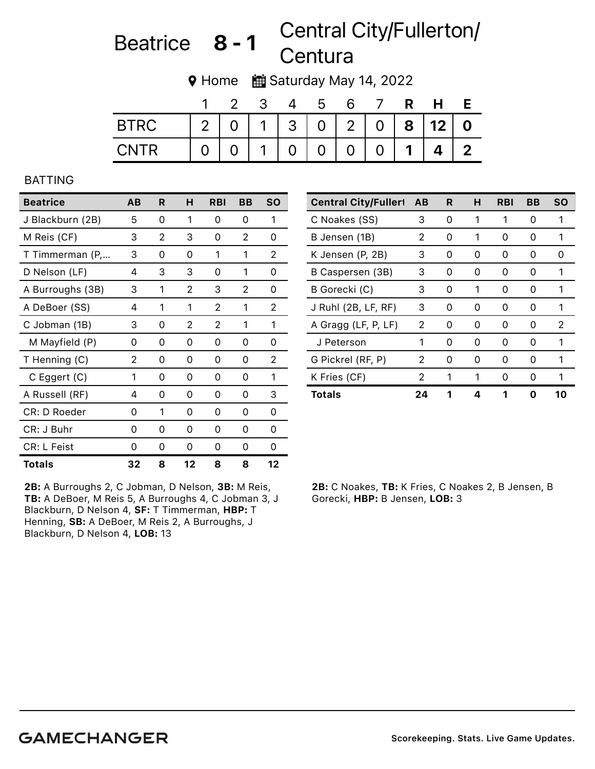# Beatrice  $8 - 1$  Central City/Fullerton/ Centura

9 Home **曲** Saturday May 14, 2022

|             |                |                |             |                | . G            |                |          |   |      |             |
|-------------|----------------|----------------|-------------|----------------|----------------|----------------|----------|---|------|-------------|
| <b>BTRC</b> | 2 <sup>1</sup> | $\overline{O}$ |             | 1 3 0 2 0      |                |                |          |   | 8 12 | $\Omega$    |
| CNTR        |                |                | $\mathbf 1$ | $\overline{0}$ | $\overline{0}$ | $\overline{0}$ | $\Omega$ | 1 |      | $\mathbf 2$ |

### BATTING

| <b>Beatrice</b>    | AB | R        | н  | <b>RBI</b> | BB | <b>SO</b> |
|--------------------|----|----------|----|------------|----|-----------|
| J Blackburn (2B)   | 5  | 0        | 1  | 0          | 0  | 1         |
| M Reis (CF)        | 3  | 2        | 3  | 0          | 2  | 0         |
| T Timmerman (P,    | 3  | 0        | 0  | 1          | 1  | 2         |
| D Nelson (LF)      | 4  | 3        | 3  | 0          | 1  | 0         |
| A Burroughs (3B)   | 3  | 1        | 2  | 3          | 2  | 0         |
| A DeBoer (SS)      | 4  | 1        | 1  | 2          | 1  | 2         |
| C Jobman (1B)      | 3  | 0        | 2  | 2          | 1  | 1         |
| M Mayfield (P)     | 0  | $\Omega$ | 0  | 0          | 0  | 0         |
| T Henning (C)      | 2  | 0        | 0  | 0          | Ω  | 2         |
| C Eggert (C)       | 1  | 0        | 0  | 0          | 0  | 1         |
| A Russell (RF)     | 4  | 0        | 0  | 0          | 0  | 3         |
| CR: D Roeder       | 0  | 1        | 0  | 0          | Ω  | 0         |
| CR: J Buhr         | 0  | 0        | 0  | 0          | Ω  | 0         |
| <b>CR: L Feist</b> | 0  | 0        | 0  | 0          | Ω  | 0         |
| Totals             | 32 | 8        | 12 | 8          | 8  | 12        |

2B: A Burroughs 2, C Jobman, D Nelson, 3B: M Reis, TB: A DeBoer, M Reis 5, A Burroughs 4, C Jobman 3, J Blackburn, D Nelson 4, SF: T Timmerman, HBP: T Henning, SB: A DeBoer, M Reis 2, A Burroughs, J Blackburn, D Nelson 4, LOB: 13

| <b>Central City/Fullert</b> | - AB | R | н        | <b>RBI</b> | ΒB            | <b>SO</b> |
|-----------------------------|------|---|----------|------------|---------------|-----------|
| C Noakes (SS)               | 3    | 0 | 1        |            | O             |           |
| B Jensen (1B)               | 2    | 0 | 1        | Ω          | Ω             |           |
| K Jensen (P, 2B)            | 3    | 0 | O        | O          | O             | 0         |
| B Caspersen (3B)            | 3    | 0 | $^{(1)}$ | O          | $\mathcal{L}$ |           |
| B Gorecki (C)               | 3    | 0 | 1        | O          | O             | 1         |
| J Ruhl (2B, LF, RF)         | 3    | 0 | O        | O          | O             |           |
| A Gragg (LF, P, LF)         | 2    | O | O        | O          | O             | 2         |
| J Peterson                  | 1    | ი | O        | O          | O             | 1         |
| G Pickrel (RF, P)           | 2    | Ω | O        | Ω          | 0             | 1         |
| K Fries (CF)                | 2    | 1 |          | Ω          | O             |           |
| Totals                      | 24   |   |          |            |               |           |

2B: C Noakes, TB: K Fries, C Noakes 2, B Jensen, B Gorecki, HBP: B Jensen, LOB: 3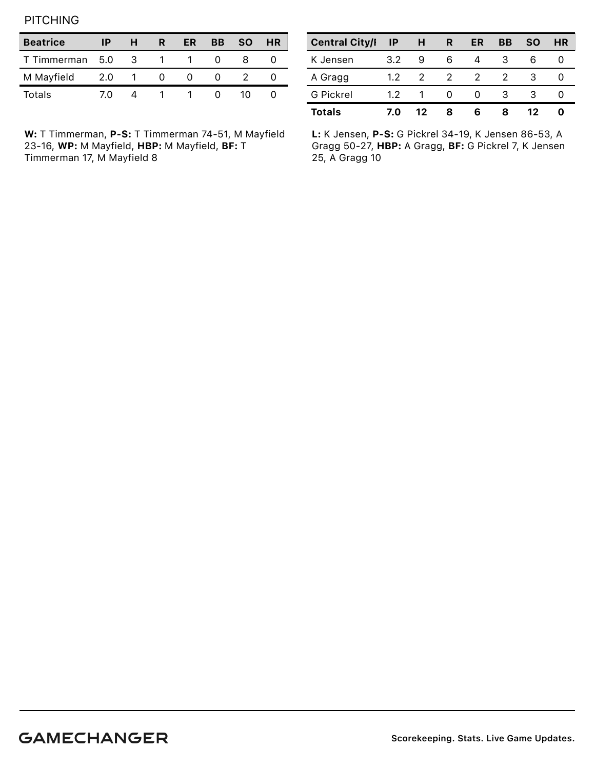**PITCHING** 

| <b>Beatrice</b> | ΙP  | н        | R | ER | BВ | <b>SO</b> | <b>HR</b> |
|-----------------|-----|----------|---|----|----|-----------|-----------|
| T Timmerman 5.0 |     | $\sim$ 3 |   |    |    |           |           |
| M Mayfield      | 2.0 |          |   |    |    |           |           |
| Totals          | (1) |          |   |    |    |           |           |

W: T Timmerman, P-S: T Timmerman 74-51, M Mayfield 23-16, WP: M Mayfield, HBP: M Mayfield, BF: T Timmerman 17, M Mayfield 8

| <b>Central City/I</b> | ΙP               | н             | R             | ER            | <b>BB</b> | <b>SO</b> | <b>HR</b> |
|-----------------------|------------------|---------------|---------------|---------------|-----------|-----------|-----------|
| K Jensen              | 3.2              | 9             | 6             |               | 3         | 6         |           |
| A Gragg               | 1.2              | $\mathcal{P}$ | $\mathcal{P}$ | $\mathcal{P}$ |           |           |           |
| <b>G</b> Pickrel      | 1.2 <sub>1</sub> |               |               |               | З         | З         |           |
| <b>Totals</b>         | 7.0              | 12            | 8             | 6             | 8         | 12        | o         |

L: K Jensen, P-S: G Pickrel 34-19, K Jensen 86-53, A Gragg 50-27, HBP: A Gragg, BF: G Pickrel 7, K Jensen 25, A Gragg 10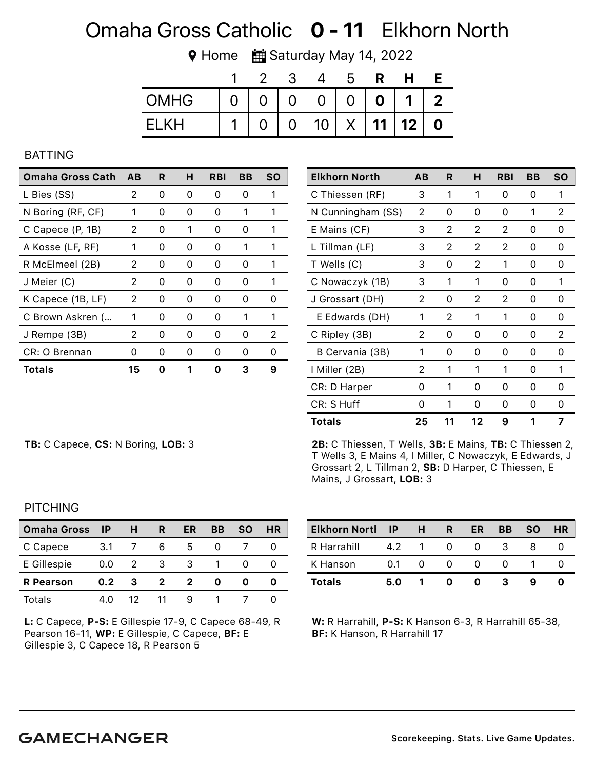# Omaha Gross Catholic 0 - 11 Elkhorn North

**♥ Home** ■ Saturday May 14, 2022

|             |  |                |                 | ხ        |                    |                 |          |
|-------------|--|----------------|-----------------|----------|--------------------|-----------------|----------|
| <b>OMHG</b> |  | $\overline{0}$ | $\overline{0}$  | $\Omega$ | $\overline{0}$     | $\mathbf 1$     |          |
| FI KH       |  |                | 10 <sup>1</sup> | X        | $\vert$ 11 $\vert$ | 12 <sup>1</sup> | <u>റ</u> |

#### BATTING

| <b>Omaha Gross Cath</b> | AB | R  | н | RBI | BВ | SΟ |
|-------------------------|----|----|---|-----|----|----|
| L Bies (SS)             | 2  | 0  | 0 | O   | 0  |    |
| N Boring (RF, CF)       | 1  | Ω  | 0 | O   |    | 1  |
| C Capece (P, 1B)        | 2  | 0  | 1 | 0   | O  | 1  |
| A Kosse (LF, RF)        | 1  | Ω  | O | O   | 1  | 1  |
| R McElmeel (2B)         | 2  | 0  | 0 | O   | O  | 1  |
| J Meier (C)             | 2  | 0  | 0 | O   | O  |    |
| K Capece (1B, LF)       | 2  | 0  | 0 | U   | O  | O  |
| C Brown Askren (        | 1  | O  | Ω | U   |    | 1  |
| J Rempe (3B)            | 2  | Ω  | O | Ω   | O  | 2  |
| CR: O Brennan           | Ω  | O) | O | O   | Ω  | O  |
| Totals                  | 15 | 0  |   |     | З  | g  |

| <b>Elkhorn North</b> | AВ | R              | н              | <b>RBI</b> | BВ | SΟ |
|----------------------|----|----------------|----------------|------------|----|----|
| C Thiessen (RF)      | 3  | 1              | 1              | Ω          | 0  | 1  |
| N Cunningham (SS)    | 2  | 0              | 0              | Ω          | 1  | 2  |
| E Mains (CF)         | 3  | $\overline{2}$ | 2              | 2          | Ω  | 0  |
| L Tillman (LF)       | 3  | $\overline{2}$ | $\overline{2}$ | 2          | Ω  | 0  |
| T Wells (C)          | 3  | 0              | 2              | 1          | 0  | 0  |
| C Nowaczyk (1B)      | 3  | 1              | 1              | Ω          | Ω  | 1  |
| J Grossart (DH)      | 2  | 0              | 2              | 2          | 0  | 0  |
| E Edwards (DH)       | 1  | 2              | 1              | 1          | 0  | Ω  |
| C Ripley (3B)        | 2  | 0              | 0              | 0          | Ω  | 2  |
| B Cervania (3B)      | 1  | 0              | 0              | 0          | 0  | 0  |
| I Miller (2B)        | 2  | 1              | 1              | 1          | 0  | 1  |
| CR: D Harper         | Ω  | 1              | 0              | Ω          | 0  | Ω  |
| CR: S Huff           | Ω  | 1              | 0              | Ω          | 0  | 0  |
| Totals               | 25 | 11             | 12             | 9          | 1  | 7  |

TB: C Capece, CS: N Boring, LOB: 3 2B: C Thiessen, T Wells, 3B: E Mains, TB: C Thiessen 2, T Wells 3, E Mains 4, I Miller, C Nowaczyk, E Edwards, J Grossart 2, L Tillman 2, SB: D Harper, C Thiessen, E Mains, J Grossart, LOB: 3

#### **PITCHING**

| <b>Omaha Gross</b> | IP  | н               | R | ER | BВ | SΟ | <b>HR</b> |
|--------------------|-----|-----------------|---|----|----|----|-----------|
| C Capece           | 3.1 |                 | 6 | h  |    |    |           |
| E Gillespie        | 0.0 | 2               | 3 |    |    |    |           |
| <b>R</b> Pearson   | 0.2 | 3               | 2 | 2  |    |    |           |
| Totals             | 40  | 12 <sub>1</sub> |   |    |    |    |           |

L: C Capece, P-S: E Gillespie 17-9, C Capece 68-49, R Pearson 16-11, WP: E Gillespie, C Capece, BF: E Gillespie 3, C Capece 18, R Pearson 5

| <b>Elkhorn Nortl</b> | <b>IP</b> | н | R        | ER           | <b>BB</b> | <b>SO</b> | <b>HR</b> |
|----------------------|-----------|---|----------|--------------|-----------|-----------|-----------|
| R Harrahill          | 4.2       |   | $\Omega$ | $\mathbf{O}$ | З         | x         |           |
| K Hanson             | O 1       | 0 |          |              |           |           |           |
| <b>Totals</b>        | 5.0       |   |          |              |           |           |           |

W: R Harrahill, P-S: K Hanson 6-3, R Harrahill 65-38, BF: K Hanson, R Harrahill 17